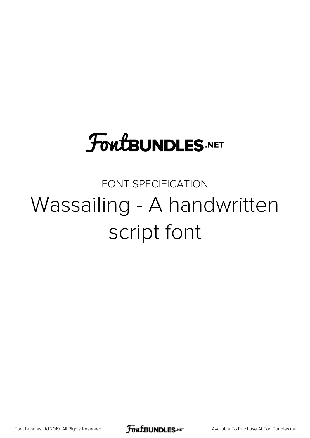## **FoutBUNDLES.NET**

## FONT SPECIFICATION Wassailing - A handwritten script font

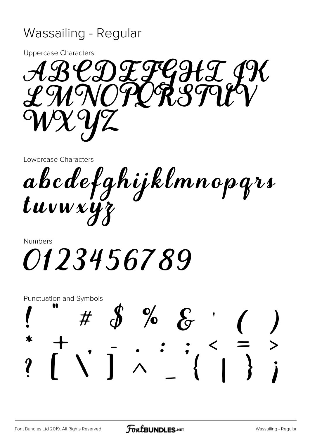## Wassailing - Regular

**Uppercase Characters** 



Lowercase Characters

abcdefghijklmnopgrs<br>tuvwxyz

Numbers 0123456789

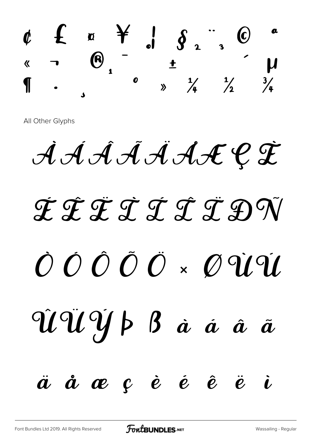

All Other Glyphs

À Á Â Ã Ä ÅÆÇ È

## É Ê Ë Ì Í Î Ï Ð Ñ Ò Ó Ô Õ Ö × Ø Ù Ú Û Ü Ý Þ ß à á â ã  $\ddot{a}$   $\dot{a}$   $\alpha$   $c$   $\dot{e}$   $\dot{e}$   $\dot{e}$   $\ddot{e}$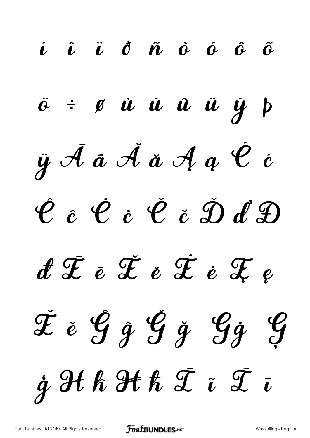í î ï ð ñ ò ó ô õ  $\ddot{\sigma}$   $\div$   $\phi$   $\dot{u}$   $\dot{u}$   $\ddot{u}$   $\ddot{u}$   $\dot{y}$   $\phi$  $\ddot{y}$   $\ddot{\theta}$   $\ddot{\theta}$   $\ddot{\phi}$   $\ddot{\phi}$   $\ddot{\phi}$   $\ddot{\phi}$   $\ddot{\phi}$   $\ddot{\phi}$   $\ddot{\phi}$   $\ddot{\phi}$ Ĉ ĉ Ċ ċ Č č Ď ď Đ đ Ē ē Ĕ ĕ Ė ė Ę ę Ě ě Ĝ ĝ Ğ ğ Ġġ Ģ  $j$  H h H  $\tilde{x}$  ī  $\bar{x}$  ī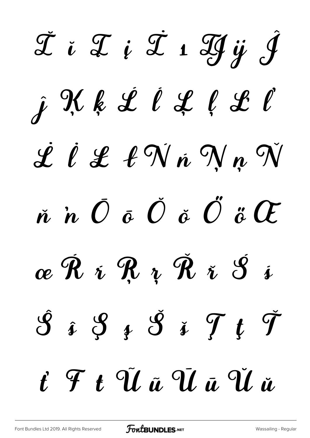TiTiTiHÿĴ j Kk Ll L C C L L l L l'N n N n N  $\v{n}$  in  $\v{O}$   $\v{o}$   $\v{O}$   $\v{o}$   $\v{O}$   $\v{c}$   $\v{O}$ œ Ĥ i Ŗ z Ř i Š i  $\hat{\mathcal{S}}$  i  $\hat{\mathcal{S}}$  i  $\hat{\mathcal{S}}$  i  $\hat{\mathcal{T}}$  t  $\check{\mathcal{T}}$ t F t Ű ű Ú ū Ű ŭ